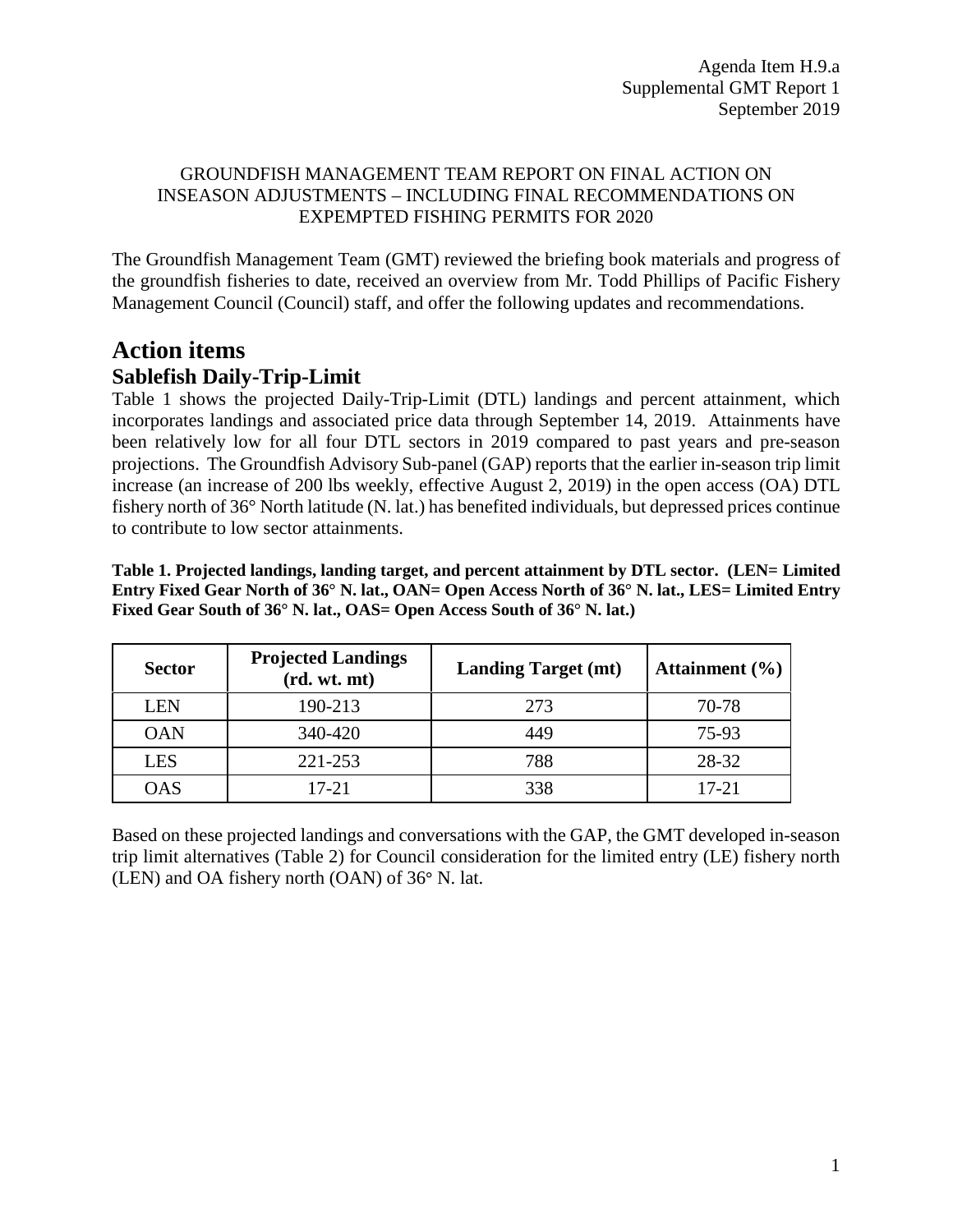#### GROUNDFISH MANAGEMENT TEAM REPORT ON FINAL ACTION ON INSEASON ADJUSTMENTS – INCLUDING FINAL RECOMMENDATIONS ON EXPEMPTED FISHING PERMITS FOR 2020

The Groundfish Management Team (GMT) reviewed the briefing book materials and progress of the groundfish fisheries to date, received an overview from Mr. Todd Phillips of Pacific Fishery Management Council (Council) staff, and offer the following updates and recommendations.

# **Action items Sablefish Daily-Trip-Limit**

[Table 1](#page-0-0) shows the projected Daily-Trip-Limit (DTL) landings and percent attainment, which incorporates landings and associated price data through September 14, 2019. Attainments have been relatively low for all four DTL sectors in 2019 compared to past years and pre-season projections. The Groundfish Advisory Sub-panel (GAP) reports that the earlier in-season trip limit increase (an increase of 200 lbs weekly, effective August 2, 2019) in the open access (OA) DTL fishery north of 36° North latitude (N. lat.) has benefited individuals, but depressed prices continue to contribute to low sector attainments.

<span id="page-0-0"></span>**Table 1. Projected landings, landing target, and percent attainment by DTL sector. (LEN= Limited Entry Fixed Gear North of 36° N. lat., OAN= Open Access North of 36° N. lat., LES= Limited Entry Fixed Gear South of 36° N. lat., OAS= Open Access South of 36° N. lat.)**

| <b>Sector</b> | <b>Projected Landings</b><br>(rd. wt. mt) | <b>Landing Target (mt)</b> | Attainment $(\% )$ |  |  |
|---------------|-------------------------------------------|----------------------------|--------------------|--|--|
| <b>LEN</b>    | 190-213                                   | 273                        | 70-78              |  |  |
| <b>OAN</b>    | 340-420                                   | 449                        | 75-93              |  |  |
| <b>LES</b>    | 221-253                                   | 788                        | 28-32              |  |  |
| <b>OAS</b>    | 17-21                                     | 338                        | 17-21              |  |  |

Based on these projected landings and conversations with the GAP, the GMT developed in-season trip limit alternatives [\(Table 2\)](#page-1-0) for Council consideration for the limited entry (LE) fishery north (LEN) and OA fishery north (OAN) of 36**°** N. lat.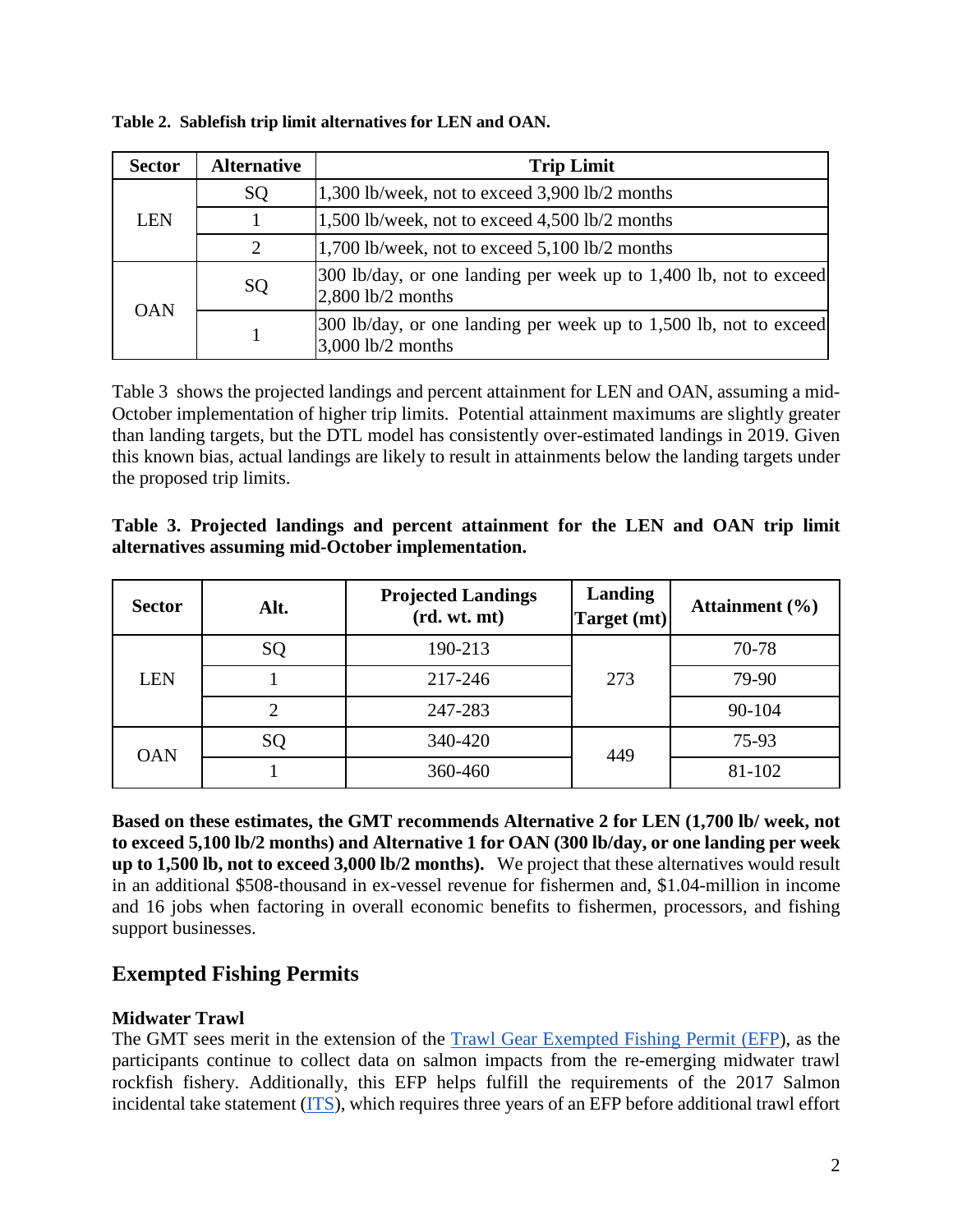| <b>Sector</b> | <b>Alternative</b>          | <b>Trip Limit</b>                                                                          |
|---------------|-----------------------------|--------------------------------------------------------------------------------------------|
|               | SQ                          | 1,300 lb/week, not to exceed 3,900 lb/2 months                                             |
| LEN           |                             | 1,500 lb/week, not to exceed 4,500 lb/2 months                                             |
|               | $\mathcal{D}_{\mathcal{L}}$ | 1,700 lb/week, not to exceed 5,100 lb/2 months                                             |
| <b>OAN</b>    | SQ                          | 300 lb/day, or one landing per week up to 1,400 lb, not to exceed<br>$2,800$ lb/2 months   |
|               |                             | [300 lb/day, or one landing per week up to 1,500 lb, not to exceed]<br>$3,000$ lb/2 months |

<span id="page-1-0"></span>**Table 2. Sablefish trip limit alternatives for LEN and OAN.** 

[Table 3](#page-1-1) shows the projected landings and percent attainment for LEN and OAN, assuming a mid-October implementation of higher trip limits. Potential attainment maximums are slightly greater than landing targets, but the DTL model has consistently over-estimated landings in 2019. Given this known bias, actual landings are likely to result in attainments below the landing targets under the proposed trip limits.

<span id="page-1-1"></span>

|                                                   |  | Table 3. Projected landings and percent attainment for the LEN and OAN trip limit |  |  |  |  |
|---------------------------------------------------|--|-----------------------------------------------------------------------------------|--|--|--|--|
| alternatives assuming mid-October implementation. |  |                                                                                   |  |  |  |  |

| <b>Sector</b> | Alt. | <b>Projected Landings</b><br>(rd. wt. mt) | Landing<br>Target (mt) | Attainment $(\% )$ |
|---------------|------|-------------------------------------------|------------------------|--------------------|
|               | SQ   | 190-213                                   |                        | 70-78              |
| <b>LEN</b>    |      | 217-246                                   | 273                    | 79-90              |
|               |      | 247-283                                   |                        | 90-104             |
|               | SQ   | 340-420                                   | 449                    | 75-93              |
| <b>OAN</b>    |      | 360-460                                   |                        | 81-102             |

**Based on these estimates, the GMT recommends Alternative 2 for LEN (1,700 lb/ week, not to exceed 5,100 lb/2 months) and Alternative 1 for OAN (300 lb/day, or one landing per week up to 1,500 lb, not to exceed 3,000 lb/2 months).** We project that these alternatives would result in an additional \$508-thousand in ex-vessel revenue for fishermen and, \$1.04-million in income and 16 jobs when factoring in overall economic benefits to fishermen, processors, and fishing support businesses.

# **Exempted Fishing Permits**

#### **Midwater Trawl**

The GMT sees merit in the extension of the [Trawl Gear Exempted Fishing Permit \(EFP\)](https://pfmc.psmfc.org/CommentReview/DownloadFile?p=87f18a9e-8c9f-402a-aa99-1e2a978d3638.pdf&fileName=H9.2020.Yr.Rd.MWT.EFP.Memo.Sept2019.Complete.pdf), as the participants continue to collect data on salmon impacts from the re-emerging midwater trawl rockfish fishery. Additionally, this EFP helps fulfill the requirements of the 2017 Salmon incidental take statement [\(ITS\)](https://www.pcouncil.org/wp-content/uploads/2019/03/G3_Att1_ITS_excerpt_from_Salmon_Groundfish__biop_121117_APR2019BB.pdf), which requires three years of an EFP before additional trawl effort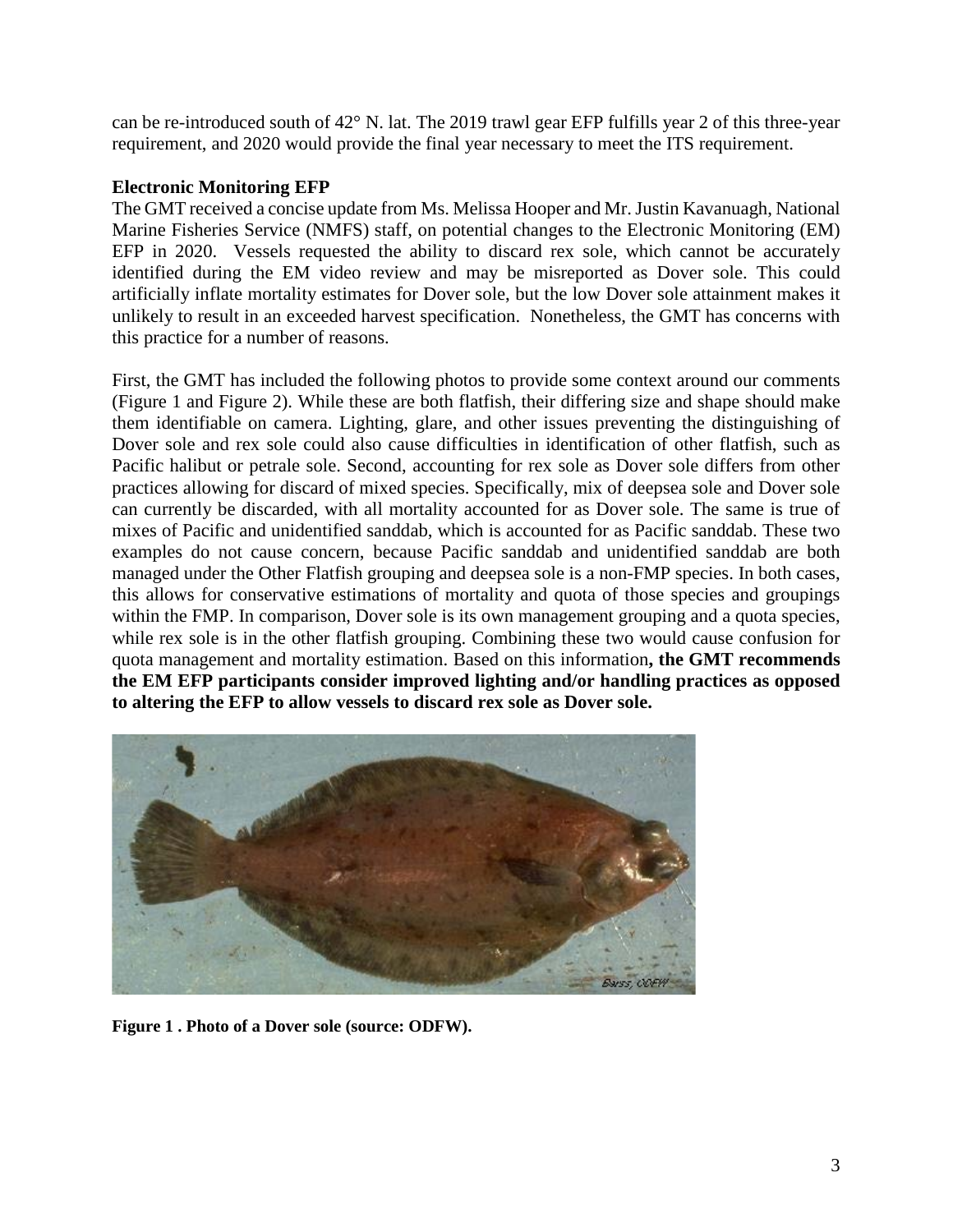can be re-introduced south of 42° N. lat. The 2019 trawl gear EFP fulfills year 2 of this three-year requirement, and 2020 would provide the final year necessary to meet the ITS requirement.

#### **Electronic Monitoring EFP**

The GMT received a concise update from Ms. Melissa Hooper and Mr. Justin Kavanuagh, National Marine Fisheries Service (NMFS) staff, on potential changes to the Electronic Monitoring (EM) EFP in 2020. Vessels requested the ability to discard rex sole, which cannot be accurately identified during the EM video review and may be misreported as Dover sole. This could artificially inflate mortality estimates for Dover sole, but the low Dover sole attainment makes it unlikely to result in an exceeded harvest specification. Nonetheless, the GMT has concerns with this practice for a number of reasons.

First, the GMT has included the following photos to provide some context around our comments [\(Figure 1](#page-2-0) and [Figure 2\)](#page-3-0). While these are both flatfish, their differing size and shape should make them identifiable on camera. Lighting, glare, and other issues preventing the distinguishing of Dover sole and rex sole could also cause difficulties in identification of other flatfish, such as Pacific halibut or petrale sole. Second, accounting for rex sole as Dover sole differs from other practices allowing for discard of mixed species. Specifically, mix of deepsea sole and Dover sole can currently be discarded, with all mortality accounted for as Dover sole. The same is true of mixes of Pacific and unidentified sanddab, which is accounted for as Pacific sanddab. These two examples do not cause concern, because Pacific sanddab and unidentified sanddab are both managed under the Other Flatfish grouping and deepsea sole is a non-FMP species. In both cases, this allows for conservative estimations of mortality and quota of those species and groupings within the FMP. In comparison, Dover sole is its own management grouping and a quota species, while rex sole is in the other flatfish grouping. Combining these two would cause confusion for quota management and mortality estimation. Based on this information**, the GMT recommends the EM EFP participants consider improved lighting and/or handling practices as opposed to altering the EFP to allow vessels to discard rex sole as Dover sole.** 

<span id="page-2-0"></span>

**Figure 1 . Photo of a Dover sole (source: ODFW).**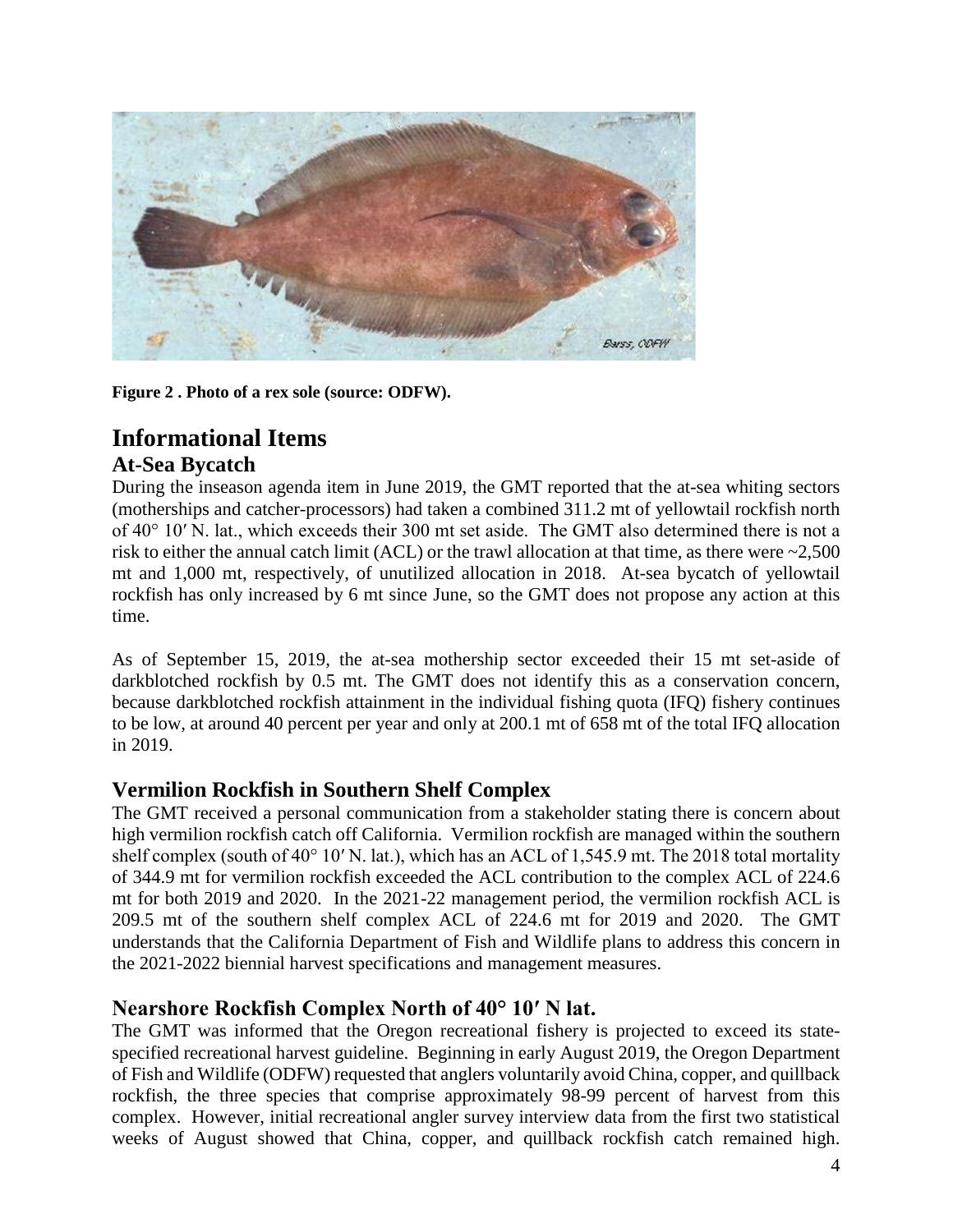

**Figure 2 . Photo of a rex sole (source: ODFW).** 

# <span id="page-3-0"></span>**Informational Items At-Sea Bycatch**

During the inseason agenda item in June 2019, the GMT reported that the at-sea whiting sectors (motherships and catcher-processors) had taken a combined 311.2 mt of yellowtail rockfish north of 40° 10′ N. lat., which exceeds their 300 mt set aside. The GMT also determined there is not a risk to either the annual catch limit (ACL) or the trawl allocation at that time, as there were  $\sim$ 2,500 mt and 1,000 mt, respectively, of unutilized allocation in 2018. At-sea bycatch of yellowtail rockfish has only increased by 6 mt since June, so the GMT does not propose any action at this time.

As of September 15, 2019, the at-sea mothership sector exceeded their 15 mt set-aside of darkblotched rockfish by 0.5 mt. The GMT does not identify this as a conservation concern, because darkblotched rockfish attainment in the individual fishing quota (IFQ) fishery continues to be low, at around 40 percent per year and only at 200.1 mt of 658 mt of the total IFQ allocation in 2019.

# **Vermilion Rockfish in Southern Shelf Complex**

The GMT received a personal communication from a stakeholder stating there is concern about high vermilion rockfish catch off California. Vermilion rockfish are managed within the southern shelf complex (south of 40° 10′ N. lat.), which has an ACL of 1,545.9 mt. The 2018 total mortality of 344.9 mt for vermilion rockfish exceeded the ACL contribution to the complex ACL of 224.6 mt for both 2019 and 2020. In the 2021-22 management period, the vermilion rockfish ACL is 209.5 mt of the southern shelf complex ACL of 224.6 mt for 2019 and 2020. The GMT understands that the California Department of Fish and Wildlife plans to address this concern in the 2021-2022 biennial harvest specifications and management measures.

# **Nearshore Rockfish Complex North of 40° 10′ N lat.**

The GMT was informed that the Oregon recreational fishery is projected to exceed its statespecified recreational harvest guideline. Beginning in early August 2019, the Oregon Department of Fish and Wildlife (ODFW) requested that anglers voluntarily avoid China, copper, and quillback rockfish, the three species that comprise approximately 98-99 percent of harvest from this complex. However, initial recreational angler survey interview data from the first two statistical weeks of August showed that China, copper, and quillback rockfish catch remained high.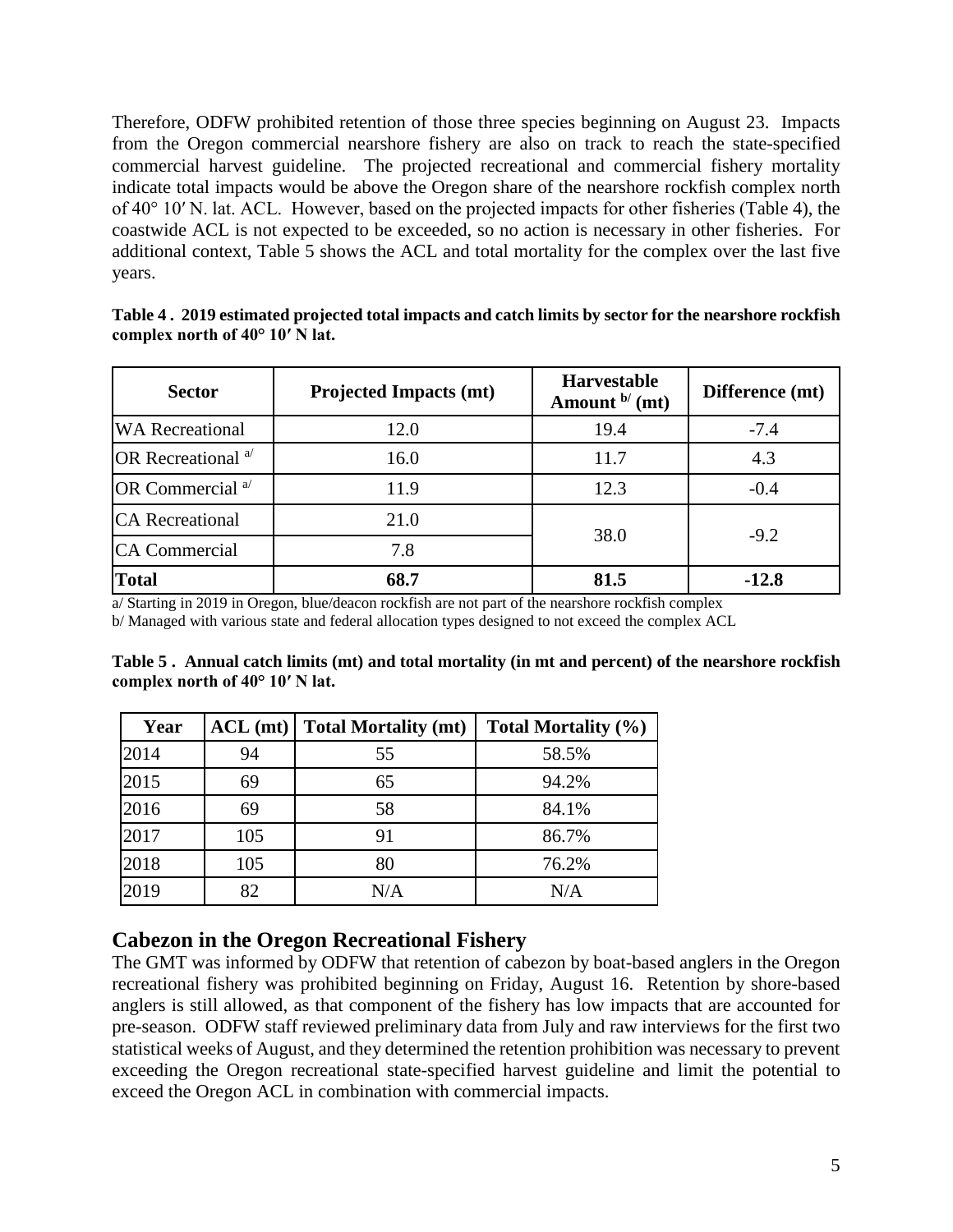Therefore, ODFW prohibited retention of those three species beginning on August 23. Impacts from the Oregon commercial nearshore fishery are also on track to reach the state-specified commercial harvest guideline. The projected recreational and commercial fishery mortality indicate total impacts would be above the Oregon share of the nearshore rockfish complex north of 40° 10′ N. lat. ACL. However, based on the projected impacts for other fisheries ([Table 4\)](#page-4-0), the coastwide ACL is not expected to be exceeded, so no action is necessary in other fisheries. For additional context, [Table 5](#page-4-1) shows the ACL and total mortality for the complex over the last five years.

<span id="page-4-0"></span>

|                                          | Table 4. 2019 estimated projected total impacts and catch limits by sector for the nearshore rockfish |  |  |  |
|------------------------------------------|-------------------------------------------------------------------------------------------------------|--|--|--|
| complex north of $40^{\circ}$ 10' N lat. |                                                                                                       |  |  |  |

| <b>Sector</b><br><b>Projected Impacts (mt)</b>   |      | <b>Harvestable</b><br>Amount $b'$ (mt) | Difference (mt) |  |
|--------------------------------------------------|------|----------------------------------------|-----------------|--|
| <b>WA Recreational</b>                           | 12.0 |                                        | $-7.4$          |  |
| OR Recreational <sup>a/</sup>                    | 16.0 | 11.7                                   | 4.3             |  |
| OR Commercial $a$ <sup><math>\prime</math></sup> | 11.9 | 12.3                                   | $-0.4$          |  |
| <b>CA</b> Recreational                           | 21.0 | 38.0                                   | $-9.2$          |  |
| <b>CA Commercial</b>                             | 7.8  |                                        |                 |  |
| <b>Total</b>                                     | 68.7 | 81.5                                   | $-12.8$         |  |

a/ Starting in 2019 in Oregon, blue/deacon rockfish are not part of the nearshore rockfish complex b/ Managed with various state and federal allocation types designed to not exceed the complex ACL

<span id="page-4-1"></span>

|                                          |  |  | Table 5. Annual catch limits (mt) and total mortality (in mt and percent) of the nearshore rockfish |
|------------------------------------------|--|--|-----------------------------------------------------------------------------------------------------|
| complex north of $40^{\circ}$ 10' N lat. |  |  |                                                                                                     |

| Year | $ACL$ (mt) | <b>Total Mortality (mt)</b> | Total Mortality (%) |
|------|------------|-----------------------------|---------------------|
| 2014 | 94         | 55                          | 58.5%               |
| 2015 | 69         | 65                          | 94.2%               |
| 2016 | 69         | 58                          | 84.1%               |
| 2017 | 105        | 91                          | 86.7%               |
| 2018 | 105        | 80                          | 76.2%               |
| 2019 | 82         | N/A                         | N/A                 |

# **Cabezon in the Oregon Recreational Fishery**

The GMT was informed by ODFW that retention of cabezon by boat-based anglers in the Oregon recreational fishery was prohibited beginning on Friday, August 16. Retention by shore-based anglers is still allowed, as that component of the fishery has low impacts that are accounted for pre-season. ODFW staff reviewed preliminary data from July and raw interviews for the first two statistical weeks of August, and they determined the retention prohibition was necessary to prevent exceeding the Oregon recreational state-specified harvest guideline and limit the potential to exceed the Oregon ACL in combination with commercial impacts.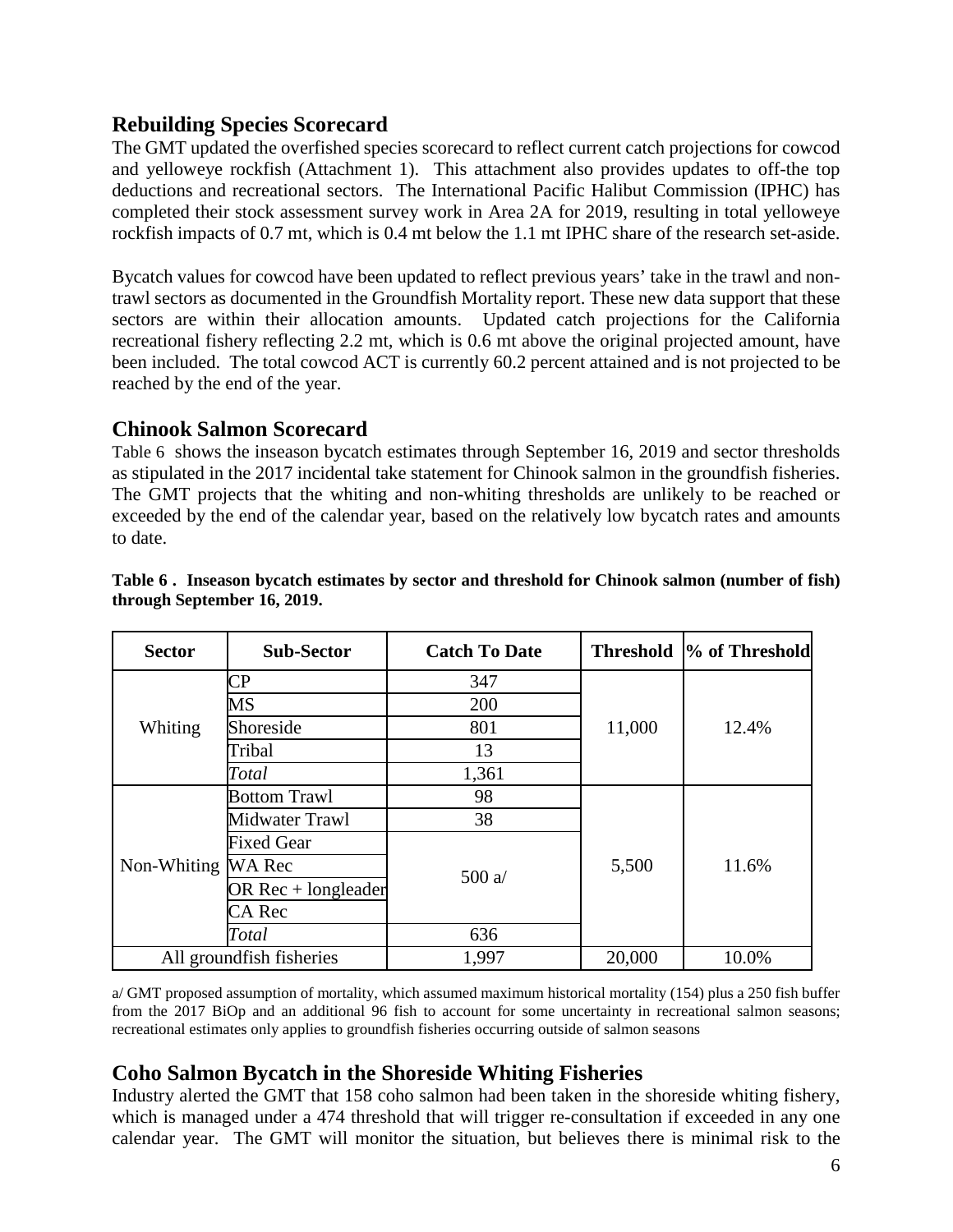## **Rebuilding Species Scorecard**

The GMT updated the overfished species scorecard to reflect current catch projections for cowcod and yelloweye rockfish (Attachment 1). This attachment also provides updates to off-the top deductions and recreational sectors. The International Pacific Halibut Commission (IPHC) has completed their stock assessment survey work in Area 2A for 2019, resulting in total yelloweye rockfish impacts of 0.7 mt, which is 0.4 mt below the 1.1 mt IPHC share of the research set-aside.

Bycatch values for cowcod have been updated to reflect previous years' take in the trawl and nontrawl sectors as documented in the Groundfish Mortality report. These new data support that these sectors are within their allocation amounts. Updated catch projections for the California recreational fishery reflecting 2.2 mt, which is 0.6 mt above the original projected amount, have been included. The total cowcod ACT is currently 60.2 percent attained and is not projected to be reached by the end of the year.

### **Chinook Salmon Scorecard**

[Table 6](#page-5-0) shows the inseason bycatch estimates through September 16, 2019 and sector thresholds as stipulated in the 2017 incidental take statement for Chinook salmon in the groundfish fisheries. The GMT projects that the whiting and non-whiting thresholds are unlikely to be reached or exceeded by the end of the calendar year, based on the relatively low bycatch rates and amounts to date.

| <b>Sector</b>      | <b>Sub-Sector</b>        | <b>Catch To Date</b> |        | Threshold  % of Threshold |  |  |
|--------------------|--------------------------|----------------------|--------|---------------------------|--|--|
| Whiting            | CР                       | 347                  |        |                           |  |  |
|                    | MS                       | 200                  |        |                           |  |  |
|                    | Shoreside                | 801                  | 11,000 | 12.4%                     |  |  |
|                    | Tribal                   | 13                   |        |                           |  |  |
|                    | Total                    | 1,361                |        |                           |  |  |
|                    | <b>Bottom Trawl</b>      | 98                   |        |                           |  |  |
|                    | Midwater Trawl           | 38                   |        |                           |  |  |
|                    | <b>Fixed Gear</b>        |                      |        | 11.6%                     |  |  |
| Non-Whiting WA Rec |                          | 500 $a/$             | 5,500  |                           |  |  |
|                    | OR $Rec + long leader$   |                      |        |                           |  |  |
|                    | CA Rec                   |                      |        |                           |  |  |
|                    | Total                    | 636                  |        |                           |  |  |
|                    | All groundfish fisheries | 1,997                | 20,000 | 10.0%                     |  |  |

#### <span id="page-5-0"></span>**Table 6 . Inseason bycatch estimates by sector and threshold for Chinook salmon (number of fish) through September 16, 2019.**

a/ GMT proposed assumption of mortality, which assumed maximum historical mortality (154) plus a 250 fish buffer from the 2017 BiOp and an additional 96 fish to account for some uncertainty in recreational salmon seasons; recreational estimates only applies to groundfish fisheries occurring outside of salmon seasons

### **Coho Salmon Bycatch in the Shoreside Whiting Fisheries**

Industry alerted the GMT that 158 coho salmon had been taken in the shoreside whiting fishery, which is managed under a 474 threshold that will trigger re-consultation if exceeded in any one calendar year. The GMT will monitor the situation, but believes there is minimal risk to the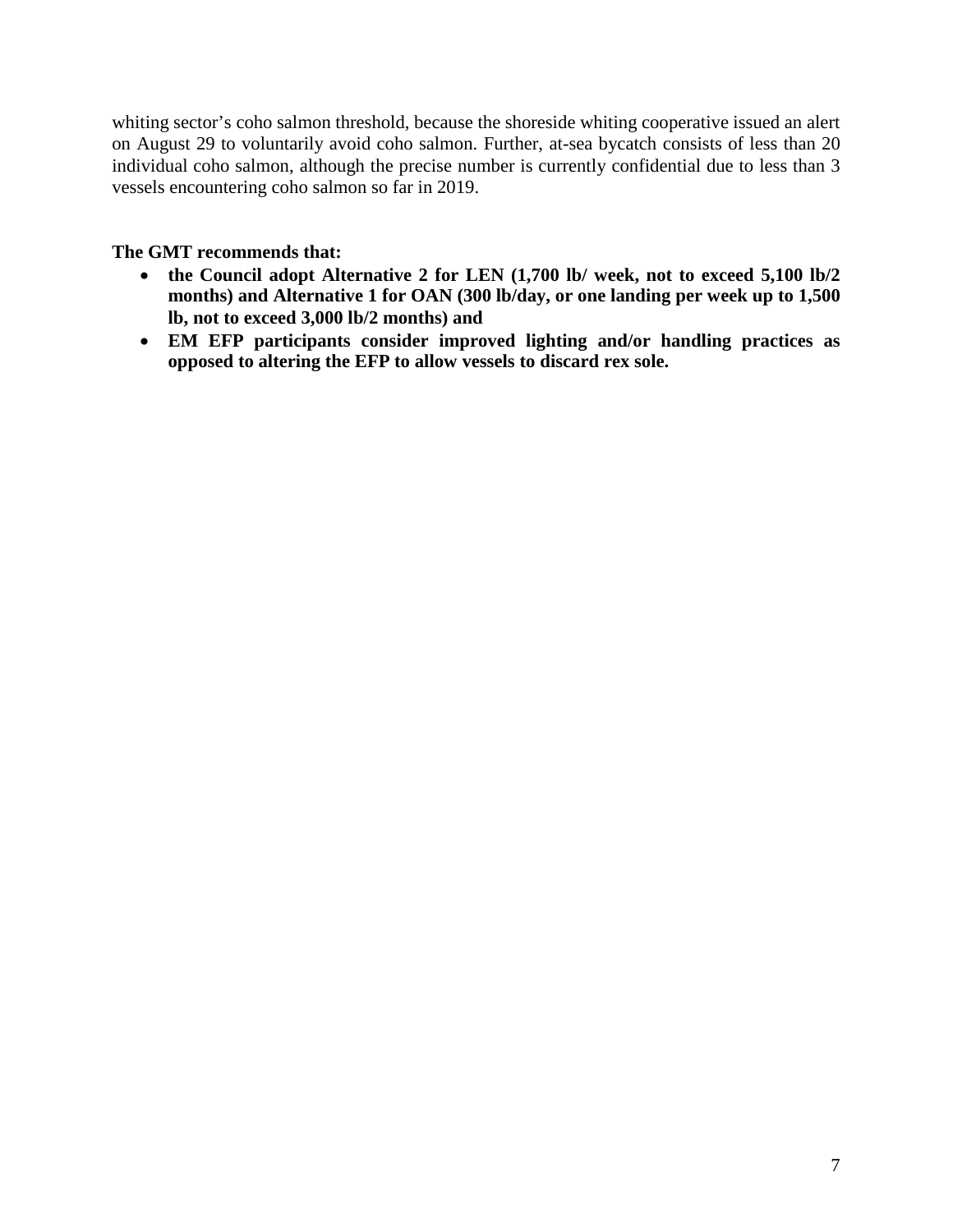whiting sector's coho salmon threshold, because the shoreside whiting cooperative issued an alert on August 29 to voluntarily avoid coho salmon. Further, at-sea bycatch consists of less than 20 individual coho salmon, although the precise number is currently confidential due to less than 3 vessels encountering coho salmon so far in 2019.

#### **The GMT recommends that:**

- **the Council adopt Alternative 2 for LEN (1,700 lb/ week, not to exceed 5,100 lb/2 months) and Alternative 1 for OAN (300 lb/day, or one landing per week up to 1,500 lb, not to exceed 3,000 lb/2 months) and**
- **EM EFP participants consider improved lighting and/or handling practices as opposed to altering the EFP to allow vessels to discard rex sole.**